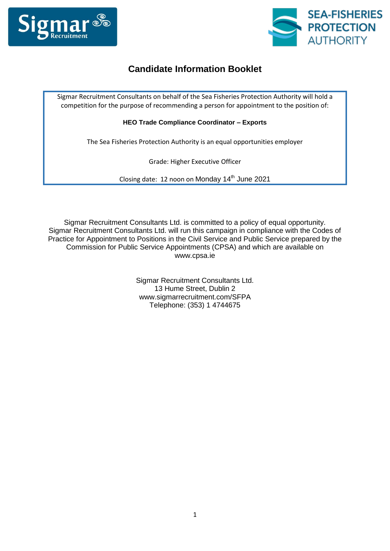



## **Candidate Information Booklet**

Sigmar Recruitment Consultants on behalf of the Sea Fisheries Protection Authority will hold a competition for the purpose of recommending a person for appointment to the position of:

**HEO Trade Compliance Coordinator – Exports**

The Sea Fisheries Protection Authority is an equal opportunities employer

Grade: Higher Executive Officer

Closing date: 12 noon on Monday 14<sup>th</sup> June 2021

Sigmar Recruitment Consultants Ltd. is committed to a policy of equal opportunity. Sigmar Recruitment Consultants Ltd. will run this campaign in compliance with the Codes of Practice for Appointment to Positions in the Civil Service and Public Service prepared by the Commission for Public Service Appointments (CPSA) and which are available on www.cpsa.ie

> Sigmar Recruitment Consultants Ltd. 13 Hume Street, Dublin 2 www.sigmarrecruitment.com/SFPA Telephone: (353) 1 4744675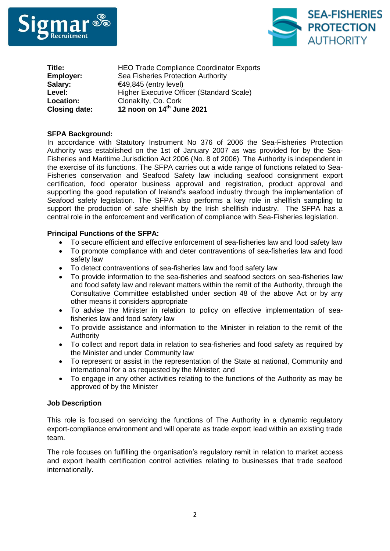



| <b>HEO Trade Compliance Coordinator Exports</b> |
|-------------------------------------------------|
| Sea Fisheries Protection Authority              |
| €49,845 (entry level)                           |
| Higher Executive Officer (Standard Scale)       |
| Clonakilty, Co. Cork                            |
| 12 noon on 14th June 2021                       |
|                                                 |

## **SFPA Background:**

In accordance with Statutory Instrument No 376 of 2006 the Sea-Fisheries Protection Authority was established on the 1st of January 2007 as was provided for by the Sea-Fisheries and Maritime Jurisdiction Act 2006 (No. 8 of 2006). The Authority is independent in the exercise of its functions. The SFPA carries out a wide range of functions related to Sea-Fisheries conservation and Seafood Safety law including seafood consignment export certification, food operator business approval and registration, product approval and supporting the good reputation of Ireland's seafood industry through the implementation of Seafood safety legislation. The SFPA also performs a key role in shellfish sampling to support the production of safe shellfish by the Irish shellfish industry. The SFPA has a central role in the enforcement and verification of compliance with Sea-Fisheries legislation.

## **Principal Functions of the SFPA:**

- To secure efficient and effective enforcement of sea-fisheries law and food safety law
- To promote compliance with and deter contraventions of sea-fisheries law and food safety law
- To detect contraventions of sea-fisheries law and food safety law
- To provide information to the sea-fisheries and seafood sectors on sea-fisheries law and food safety law and relevant matters within the remit of the Authority, through the Consultative Committee established under section 48 of the above Act or by any other means it considers appropriate
- To advise the Minister in relation to policy on effective implementation of seafisheries law and food safety law
- To provide assistance and information to the Minister in relation to the remit of the Authority
- To collect and report data in relation to sea-fisheries and food safety as required by the Minister and under Community law
- To represent or assist in the representation of the State at national, Community and international for a as requested by the Minister; and
- To engage in any other activities relating to the functions of the Authority as may be approved of by the Minister

#### **Job Description**

This role is focused on servicing the functions of The Authority in a dynamic regulatory export-compliance environment and will operate as trade export lead within an existing trade team.

The role focuses on fulfilling the organisation's regulatory remit in relation to market access and export health certification control activities relating to businesses that trade seafood internationally.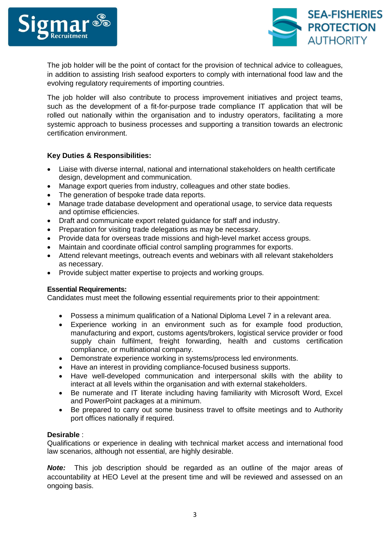



The job holder will be the point of contact for the provision of technical advice to colleagues, in addition to assisting Irish seafood exporters to comply with international food law and the evolving regulatory requirements of importing countries.

The job holder will also contribute to process improvement initiatives and project teams, such as the development of a fit-for-purpose trade compliance IT application that will be rolled out nationally within the organisation and to industry operators, facilitating a more systemic approach to business processes and supporting a transition towards an electronic certification environment.

## **Key Duties & Responsibilities:**

- Liaise with diverse internal, national and international stakeholders on health certificate design, development and communication.
- Manage export queries from industry, colleagues and other state bodies.
- The generation of bespoke trade data reports.
- Manage trade database development and operational usage, to service data requests and optimise efficiencies.
- Draft and communicate export related guidance for staff and industry.
- Preparation for visiting trade delegations as may be necessary.
- Provide data for overseas trade missions and high-level market access groups.
- Maintain and coordinate official control sampling programmes for exports.
- Attend relevant meetings, outreach events and webinars with all relevant stakeholders as necessary.
- Provide subject matter expertise to projects and working groups.

#### **Essential Requirements:**

Candidates must meet the following essential requirements prior to their appointment:

- Possess a minimum qualification of a National Diploma Level 7 in a relevant area.
- Experience working in an environment such as for example food production, manufacturing and export, customs agents/brokers, logistical service provider or food supply chain fulfilment, freight forwarding, health and customs certification compliance, or multinational company.
- Demonstrate experience working in systems/process led environments.
- Have an interest in providing compliance-focused business supports.
- Have well-developed communication and interpersonal skills with the ability to interact at all levels within the organisation and with external stakeholders.
- Be numerate and IT literate including having familiarity with Microsoft Word, Excel and PowerPoint packages at a minimum.
- Be prepared to carry out some business travel to offsite meetings and to Authority port offices nationally if required.

#### **Desirable** :

Qualifications or experience in dealing with technical market access and international food law scenarios, although not essential, are highly desirable.

*Note:* This job description should be regarded as an outline of the major areas of accountability at HEO Level at the present time and will be reviewed and assessed on an ongoing basis.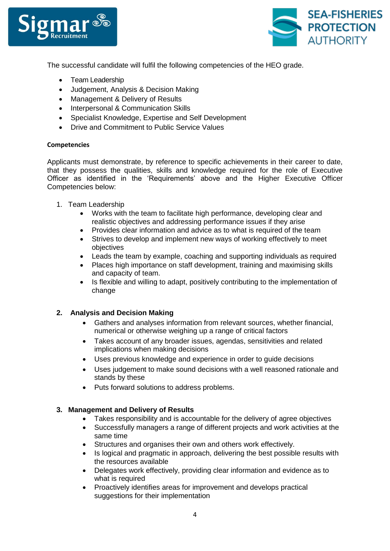



The successful candidate will fulfil the following competencies of the HEO grade.

- Team Leadership
- Judgement, Analysis & Decision Making
- Management & Delivery of Results
- Interpersonal & Communication Skills
- Specialist Knowledge, Expertise and Self Development
- Drive and Commitment to Public Service Values

## **Competencies**

Applicants must demonstrate, by reference to specific achievements in their career to date, that they possess the qualities, skills and knowledge required for the role of Executive Officer as identified in the 'Requirements' above and the Higher Executive Officer Competencies below:

- 1. Team Leadership
	- Works with the team to facilitate high performance, developing clear and realistic objectives and addressing performance issues if they arise
	- Provides clear information and advice as to what is required of the team
	- Strives to develop and implement new ways of working effectively to meet objectives
	- Leads the team by example, coaching and supporting individuals as required
	- Places high importance on staff development, training and maximising skills and capacity of team.
	- Is flexible and willing to adapt, positively contributing to the implementation of change

## **2. Analysis and Decision Making**

- Gathers and analyses information from relevant sources, whether financial, numerical or otherwise weighing up a range of critical factors
- Takes account of any broader issues, agendas, sensitivities and related implications when making decisions
- Uses previous knowledge and experience in order to guide decisions
- Uses judgement to make sound decisions with a well reasoned rationale and stands by these
- Puts forward solutions to address problems.

## **3. Management and Delivery of Results**

- Takes responsibility and is accountable for the delivery of agree objectives
- Successfully managers a range of different projects and work activities at the same time
- Structures and organises their own and others work effectively.
- Is logical and pragmatic in approach, delivering the best possible results with the resources available
- Delegates work effectively, providing clear information and evidence as to what is required
- Proactively identifies areas for improvement and develops practical suggestions for their implementation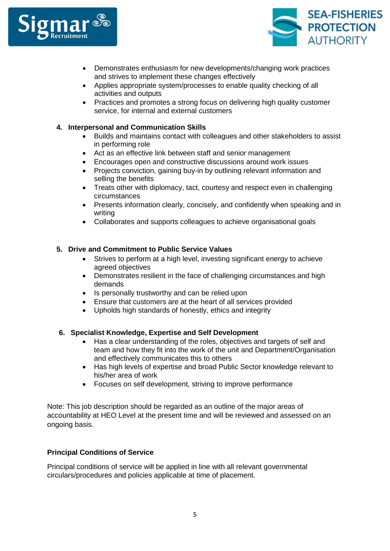



- Demonstrates enthusiasm for new developments/changing work practices and strives to implement these changes effectively
- Applies appropriate system/processes to enable quality checking of all activities and outputs
- Practices and promotes a strong focus on delivering high quality customer service, for internal and external customers

## **4. Interpersonal and Communication Skills**

- Builds and maintains contact with colleagues and other stakeholders to assist in performing role
- Act as an effective link between staff and senior management
- Encourages open and constructive discussions around work issues
- Projects conviction, gaining buy-in by outlining relevant information and selling the benefits
- Treats other with diplomacy, tact, courtesy and respect even in challenging circumstances
- Presents information clearly, concisely, and confidently when speaking and in writing
- Collaborates and supports colleagues to achieve organisational goals

## **5. Drive and Commitment to Public Service Values**

- Strives to perform at a high level, investing significant energy to achieve agreed objectives
- Demonstrates resilient in the face of challenging circumstances and high demands
- Is personally trustworthy and can be relied upon
- Ensure that customers are at the heart of all services provided
- Upholds high standards of honestly, ethics and integrity

#### **6. Specialist Knowledge, Expertise and Self Development**

- Has a clear understanding of the roles, objectives and targets of self and team and how they fit into the work of the unit and Department/Organisation and effectively communicates this to others
- Has high levels of expertise and broad Public Sector knowledge relevant to his/her area of work
- Focuses on self development, striving to improve performance

Note: This job description should be regarded as an outline of the major areas of accountability at HEO Level at the present time and will be reviewed and assessed on an ongoing basis.

## **Principal Conditions of Service**

Principal conditions of service will be applied in line with all relevant governmental circulars/procedures and policies applicable at time of placement.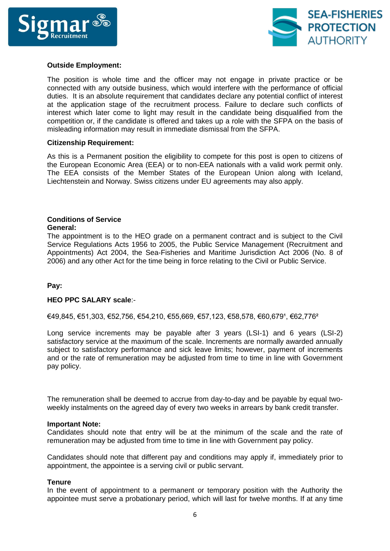



## **Outside Employment:**

The position is whole time and the officer may not engage in private practice or be connected with any outside business, which would interfere with the performance of official duties. It is an absolute requirement that candidates declare any potential conflict of interest at the application stage of the recruitment process. Failure to declare such conflicts of interest which later come to light may result in the candidate being disqualified from the competition or, if the candidate is offered and takes up a role with the SFPA on the basis of misleading information may result in immediate dismissal from the SFPA.

#### **Citizenship Requirement:**

As this is a Permanent position the eligibility to compete for this post is open to citizens of the European Economic Area (EEA) or to non-EEA nationals with a valid work permit only. The EEA consists of the Member States of the European Union along with Iceland, Liechtenstein and Norway. Swiss citizens under EU agreements may also apply.

# **Conditions of Service**

#### **General:**

The appointment is to the HEO grade on a permanent contract and is subject to the Civil Service Regulations Acts 1956 to 2005, the Public Service Management (Recruitment and Appointments) Act 2004, the Sea-Fisheries and Maritime Jurisdiction Act 2006 (No. 8 of 2006) and any other Act for the time being in force relating to the Civil or Public Service.

#### **Pay:**

#### **HEO PPC SALARY scale**:-

€49,845, €51,303, €52,756, €54,210, €55,669, €57,123, €58,578, €60,6791, €62,776<sup>2</sup>

Long service increments may be payable after 3 years (LSI-1) and 6 years (LSI-2) satisfactory service at the maximum of the scale. Increments are normally awarded annually subject to satisfactory performance and sick leave limits; however, payment of increments and or the rate of remuneration may be adjusted from time to time in line with Government pay policy.

The remuneration shall be deemed to accrue from day-to-day and be payable by equal twoweekly instalments on the agreed day of every two weeks in arrears by bank credit transfer.

#### **Important Note:**

Candidates should note that entry will be at the minimum of the scale and the rate of remuneration may be adjusted from time to time in line with Government pay policy.

Candidates should note that different pay and conditions may apply if, immediately prior to appointment, the appointee is a serving civil or public servant.

#### **Tenure**

In the event of appointment to a permanent or temporary position with the Authority the appointee must serve a probationary period, which will last for twelve months. If at any time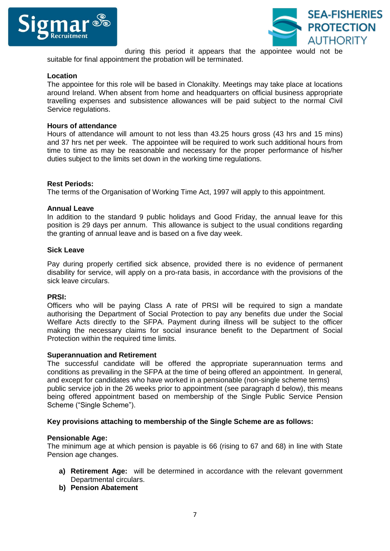



during this period it appears that the appointee would not be suitable for final appointment the probation will be terminated.

#### **Location**

The appointee for this role will be based in Clonakilty. Meetings may take place at locations around Ireland. When absent from home and headquarters on official business appropriate travelling expenses and subsistence allowances will be paid subject to the normal Civil Service regulations.

## **Hours of attendance**

Hours of attendance will amount to not less than 43.25 hours gross (43 hrs and 15 mins) and 37 hrs net per week. The appointee will be required to work such additional hours from time to time as may be reasonable and necessary for the proper performance of his/her duties subject to the limits set down in the working time regulations.

## **Rest Periods:**

The terms of the Organisation of Working Time Act, 1997 will apply to this appointment.

#### **Annual Leave**

In addition to the standard 9 public holidays and Good Friday, the annual leave for this position is 29 days per annum. This allowance is subject to the usual conditions regarding the granting of annual leave and is based on a five day week.

#### **Sick Leave**

Pay during properly certified sick absence, provided there is no evidence of permanent disability for service, will apply on a pro-rata basis, in accordance with the provisions of the sick leave circulars.

#### **PRSI:**

Officers who will be paying Class A rate of PRSI will be required to sign a mandate authorising the Department of Social Protection to pay any benefits due under the Social Welfare Acts directly to the SFPA. Payment during illness will be subject to the officer making the necessary claims for social insurance benefit to the Department of Social Protection within the required time limits.

#### **Superannuation and Retirement**

The successful candidate will be offered the appropriate superannuation terms and conditions as prevailing in the SFPA at the time of being offered an appointment. In general, and except for candidates who have worked in a pensionable (non-single scheme terms) public service job in the 26 weeks prior to appointment (see paragraph d below), this means being offered appointment based on membership of the Single Public Service Pension Scheme ("Single Scheme").

#### **Key provisions attaching to membership of the Single Scheme are as follows:**

#### **Pensionable Age:**

The minimum age at which pension is payable is 66 (rising to 67 and 68) in line with State Pension age changes.

- **a) Retirement Age:** will be determined in accordance with the relevant government Departmental circulars.
- **b) Pension Abatement**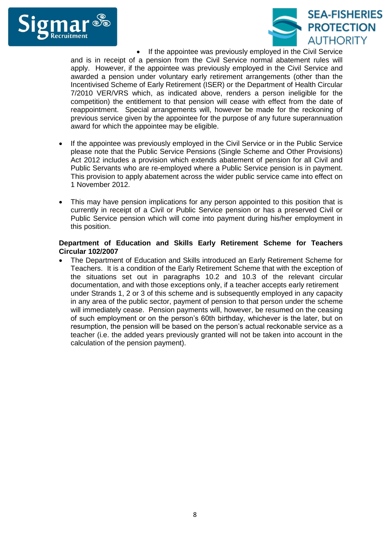



 If the appointee was previously employed in the Civil Service and is in receipt of a pension from the Civil Service normal abatement rules will apply. However, if the appointee was previously employed in the Civil Service and awarded a pension under voluntary early retirement arrangements (other than the Incentivised Scheme of Early Retirement (ISER) or the Department of Health Circular 7/2010 VER/VRS which, as indicated above, renders a person ineligible for the competition) the entitlement to that pension will cease with effect from the date of reappointment. Special arrangements will, however be made for the reckoning of previous service given by the appointee for the purpose of any future superannuation award for which the appointee may be eligible.

- If the appointee was previously employed in the Civil Service or in the Public Service please note that the Public Service Pensions (Single Scheme and Other Provisions) Act 2012 includes a provision which extends abatement of pension for all Civil and Public Servants who are re-employed where a Public Service pension is in payment. This provision to apply abatement across the wider public service came into effect on 1 November 2012.
- This may have pension implications for any person appointed to this position that is currently in receipt of a Civil or Public Service pension or has a preserved Civil or Public Service pension which will come into payment during his/her employment in this position.

## **Department of Education and Skills Early Retirement Scheme for Teachers Circular 102/2007**

 The Department of Education and Skills introduced an Early Retirement Scheme for Teachers. It is a condition of the Early Retirement Scheme that with the exception of the situations set out in paragraphs 10.2 and 10.3 of the relevant circular documentation, and with those exceptions only, if a teacher accepts early retirement under Strands 1, 2 or 3 of this scheme and is subsequently employed in any capacity in any area of the public sector, payment of pension to that person under the scheme will immediately cease. Pension payments will, however, be resumed on the ceasing of such employment or on the person's 60th birthday, whichever is the later, but on resumption, the pension will be based on the person's actual reckonable service as a teacher (i.e. the added years previously granted will not be taken into account in the calculation of the pension payment).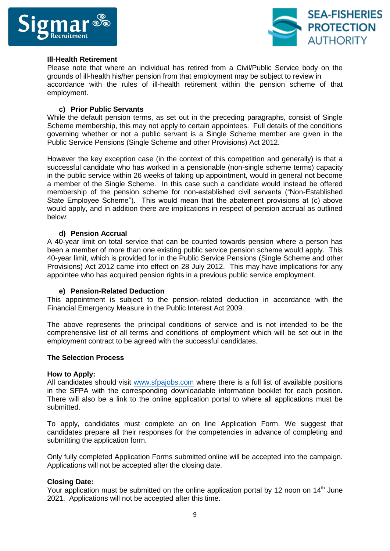



#### **Ill-Health Retirement**

Please note that where an individual has retired from a Civil/Public Service body on the grounds of ill-health his/her pension from that employment may be subject to review in accordance with the rules of ill-health retirement within the pension scheme of that employment.

## **c) Prior Public Servants**

While the default pension terms, as set out in the preceding paragraphs, consist of Single Scheme membership, this may not apply to certain appointees. Full details of the conditions governing whether or not a public servant is a Single Scheme member are given in the Public Service Pensions (Single Scheme and other Provisions) Act 2012.

However the key exception case (in the context of this competition and generally) is that a successful candidate who has worked in a pensionable (non-single scheme terms) capacity in the public service within 26 weeks of taking up appointment, would in general not become a member of the Single Scheme. In this case such a candidate would instead be offered membership of the pension scheme for non-established civil servants ("Non-Established State Employee Scheme"). This would mean that the abatement provisions at (c) above would apply, and in addition there are implications in respect of pension accrual as outlined below:

## **d) Pension Accrual**

A 40-year limit on total service that can be counted towards pension where a person has been a member of more than one existing public service pension scheme would apply. This 40-year limit, which is provided for in the Public Service Pensions (Single Scheme and other Provisions) Act 2012 came into effect on 28 July 2012. This may have implications for any appointee who has acquired pension rights in a previous public service employment.

#### **e) Pension-Related Deduction**

This appointment is subject to the pension-related deduction in accordance with the Financial Emergency Measure in the Public Interest Act 2009.

The above represents the principal conditions of service and is not intended to be the comprehensive list of all terms and conditions of employment which will be set out in the employment contract to be agreed with the successful candidates.

#### **The Selection Process**

#### **How to Apply:**

All candidates should visit [www.sfpajobs.com](http://www.sfpajobs.com/) where there is a full list of available positions in the SFPA with the corresponding downloadable information booklet for each position. There will also be a link to the online application portal to where all applications must be submitted.

To apply, candidates must complete an on line Application Form. We suggest that candidates prepare all their responses for the competencies in advance of completing and submitting the application form.

Only fully completed Application Forms submitted online will be accepted into the campaign. Applications will not be accepted after the closing date.

#### **Closing Date:**

Your application must be submitted on the online application portal by 12 noon on  $14<sup>th</sup>$  June 2021. Applications will not be accepted after this time.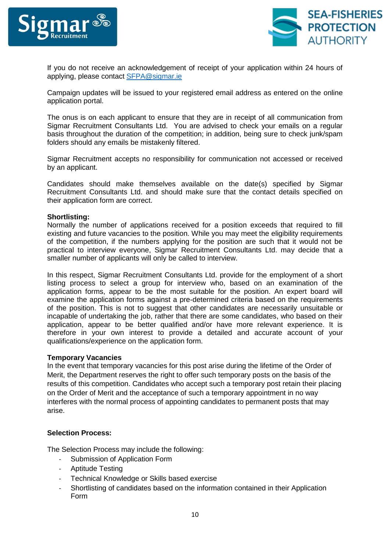



If you do not receive an acknowledgement of receipt of your application within 24 hours of applying, please contact [SFPA@sigmar.ie](mailto:SFPA@sigmar.ie)

Campaign updates will be issued to your registered email address as entered on the online application portal.

The onus is on each applicant to ensure that they are in receipt of all communication from Sigmar Recruitment Consultants Ltd. You are advised to check your emails on a regular basis throughout the duration of the competition; in addition, being sure to check junk/spam folders should any emails be mistakenly filtered.

Sigmar Recruitment accepts no responsibility for communication not accessed or received by an applicant.

Candidates should make themselves available on the date(s) specified by Sigmar Recruitment Consultants Ltd. and should make sure that the contact details specified on their application form are correct.

## **Shortlisting:**

Normally the number of applications received for a position exceeds that required to fill existing and future vacancies to the position. While you may meet the eligibility requirements of the competition, if the numbers applying for the position are such that it would not be practical to interview everyone, Sigmar Recruitment Consultants Ltd. may decide that a smaller number of applicants will only be called to interview.

In this respect, Sigmar Recruitment Consultants Ltd. provide for the employment of a short listing process to select a group for interview who, based on an examination of the application forms, appear to be the most suitable for the position. An expert board will examine the application forms against a pre-determined criteria based on the requirements of the position. This is not to suggest that other candidates are necessarily unsuitable or incapable of undertaking the job, rather that there are some candidates, who based on their application, appear to be better qualified and/or have more relevant experience. It is therefore in your own interest to provide a detailed and accurate account of your qualifications/experience on the application form.

#### **Temporary Vacancies**

In the event that temporary vacancies for this post arise during the lifetime of the Order of Merit, the Department reserves the right to offer such temporary posts on the basis of the results of this competition. Candidates who accept such a temporary post retain their placing on the Order of Merit and the acceptance of such a temporary appointment in no way interferes with the normal process of appointing candidates to permanent posts that may arise.

#### **Selection Process:**

The Selection Process may include the following:

- Submission of Application Form
- Aptitude Testing
- Technical Knowledge or Skills based exercise
- Shortlisting of candidates based on the information contained in their Application Form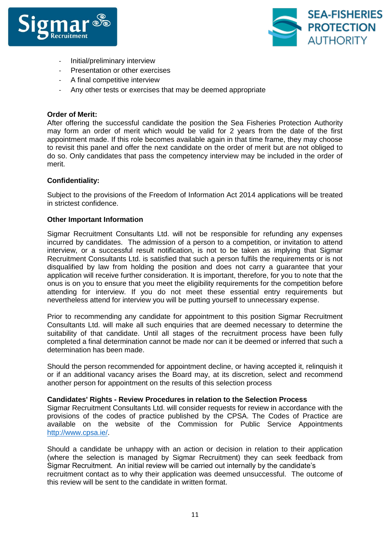



- Initial/preliminary interview
- Presentation or other exercises
- A final competitive interview
- Any other tests or exercises that may be deemed appropriate

### **Order of Merit:**

After offering the successful candidate the position the Sea Fisheries Protection Authority may form an order of merit which would be valid for 2 years from the date of the first appointment made. If this role becomes available again in that time frame, they may choose to revisit this panel and offer the next candidate on the order of merit but are not obliged to do so. Only candidates that pass the competency interview may be included in the order of merit.

## **Confidentiality:**

Subject to the provisions of the Freedom of Information Act 2014 applications will be treated in strictest confidence.

## **Other Important Information**

Sigmar Recruitment Consultants Ltd. will not be responsible for refunding any expenses incurred by candidates. The admission of a person to a competition, or invitation to attend interview, or a successful result notification, is not to be taken as implying that Sigmar Recruitment Consultants Ltd. is satisfied that such a person fulfils the requirements or is not disqualified by law from holding the position and does not carry a guarantee that your application will receive further consideration. It is important, therefore, for you to note that the onus is on you to ensure that you meet the eligibility requirements for the competition before attending for interview. If you do not meet these essential entry requirements but nevertheless attend for interview you will be putting yourself to unnecessary expense.

Prior to recommending any candidate for appointment to this position Sigmar Recruitment Consultants Ltd. will make all such enquiries that are deemed necessary to determine the suitability of that candidate. Until all stages of the recruitment process have been fully completed a final determination cannot be made nor can it be deemed or inferred that such a determination has been made.

Should the person recommended for appointment decline, or having accepted it, relinquish it or if an additional vacancy arises the Board may, at its discretion, select and recommend another person for appointment on the results of this selection process

#### **Candidates' Rights - Review Procedures in relation to the Selection Process**

Sigmar Recruitment Consultants Ltd. will consider requests for review in accordance with the provisions of the codes of practice published by the CPSA. The Codes of Practice are available on the website of the Commission for Public Service Appointments [http://www.cpsa.ie/.](http://www.cpsa.ie/)

Should a candidate be unhappy with an action or decision in relation to their application (where the selection is managed by Sigmar Recruitment) they can seek feedback from Sigmar Recruitment. An initial review will be carried out internally by the candidate's recruitment contact as to why their application was deemed unsuccessful. The outcome of this review will be sent to the candidate in written format.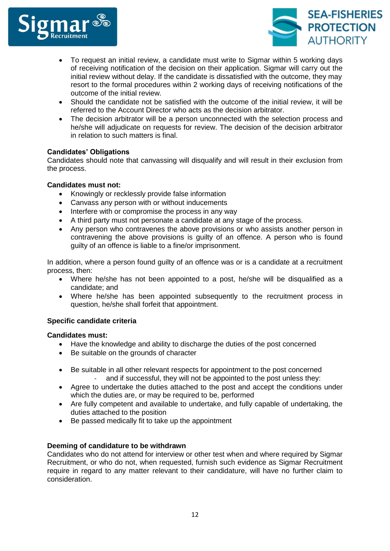



- To request an initial review, a candidate must write to Sigmar within 5 working days of receiving notification of the decision on their application. Sigmar will carry out the initial review without delay. If the candidate is dissatisfied with the outcome, they may resort to the formal procedures within 2 working days of receiving notifications of the outcome of the initial review.
- Should the candidate not be satisfied with the outcome of the initial review, it will be referred to the Account Director who acts as the decision arbitrator.
- The decision arbitrator will be a person unconnected with the selection process and he/she will adjudicate on requests for review. The decision of the decision arbitrator in relation to such matters is final.

## **Candidates' Obligations**

Candidates should note that canvassing will disqualify and will result in their exclusion from the process.

## **Candidates must not:**

- Knowingly or recklessly provide false information
- Canvass any person with or without inducements
- Interfere with or compromise the process in any way
- A third party must not personate a candidate at any stage of the process.
- Any person who contravenes the above provisions or who assists another person in contravening the above provisions is guilty of an offence. A person who is found guilty of an offence is liable to a fine/or imprisonment.

In addition, where a person found guilty of an offence was or is a candidate at a recruitment process, then:

- Where he/she has not been appointed to a post, he/she will be disqualified as a candidate; and
- Where he/she has been appointed subsequently to the recruitment process in question, he/she shall forfeit that appointment.

## **Specific candidate criteria**

## **Candidates must:**

- Have the knowledge and ability to discharge the duties of the post concerned
- Be suitable on the grounds of character
- Be suitable in all other relevant respects for appointment to the post concerned and if successful, they will not be appointed to the post unless they:
- Agree to undertake the duties attached to the post and accept the conditions under which the duties are, or may be required to be, performed
- Are fully competent and available to undertake, and fully capable of undertaking, the duties attached to the position
- Be passed medically fit to take up the appointment

## **Deeming of candidature to be withdrawn**

Candidates who do not attend for interview or other test when and where required by Sigmar Recruitment, or who do not, when requested, furnish such evidence as Sigmar Recruitment require in regard to any matter relevant to their candidature, will have no further claim to consideration.